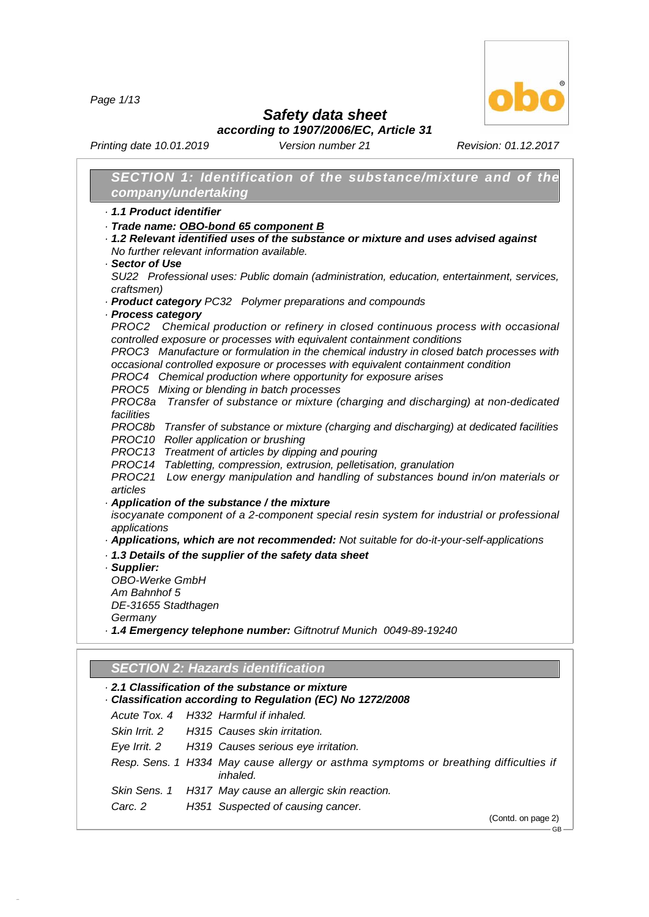*Page 1/13*



## *Safety data sheet*

*according to 1907/2006/EC, Article 31*

*Printing date 10.01.2019 Version number 21 Revision: 01.12.2017*

| SECTION 1: Identification of the substance/mixture and of the<br>company/undertaking                                                                                |
|---------------------------------------------------------------------------------------------------------------------------------------------------------------------|
| 1.1 Product identifier                                                                                                                                              |
| · Trade name: OBO-bond 65 component B                                                                                                                               |
| · 1.2 Relevant identified uses of the substance or mixture and uses advised against                                                                                 |
| No further relevant information available.                                                                                                                          |
| Sector of Use                                                                                                                                                       |
| SU22 Professional uses: Public domain (administration, education, entertainment, services,                                                                          |
| craftsmen)                                                                                                                                                          |
| · Product category PC32 Polymer preparations and compounds                                                                                                          |
| · Process category                                                                                                                                                  |
| PROC2 Chemical production or refinery in closed continuous process with occasional                                                                                  |
| controlled exposure or processes with equivalent containment conditions<br>PROC3 Manufacture or formulation in the chemical industry in closed batch processes with |
| occasional controlled exposure or processes with equivalent containment condition                                                                                   |
| PROC4 Chemical production where opportunity for exposure arises                                                                                                     |
| PROC5 Mixing or blending in batch processes                                                                                                                         |
| Transfer of substance or mixture (charging and discharging) at non-dedicated<br>PROC8a                                                                              |
| facilities                                                                                                                                                          |
| PROC8b Transfer of substance or mixture (charging and discharging) at dedicated facilities                                                                          |
| PROC10 Roller application or brushing                                                                                                                               |
| PROC13 Treatment of articles by dipping and pouring                                                                                                                 |
| PROC14 Tabletting, compression, extrusion, pelletisation, granulation<br>Low energy manipulation and handling of substances bound in/on materials or<br>PROC21      |
| articles                                                                                                                                                            |
| Application of the substance / the mixture                                                                                                                          |
| isocyanate component of a 2-component special resin system for industrial or professional                                                                           |
| applications                                                                                                                                                        |
| · Applications, which are not recommended: Not suitable for do-it-your-self-applications                                                                            |
| . 1.3 Details of the supplier of the safety data sheet                                                                                                              |
| · Supplier:                                                                                                                                                         |
| <b>OBO-Werke GmbH</b>                                                                                                                                               |
| Am Bahnhof 5                                                                                                                                                        |
| DE-31655 Stadthagen                                                                                                                                                 |
| Germany<br>- 1.4 Emergency telephone number: Giftnotruf Munich 0049-89-19240                                                                                        |
|                                                                                                                                                                     |
|                                                                                                                                                                     |
| <b>SECTION 2: Hazards identification</b>                                                                                                                            |
| 2.1 Classification of the substance or mixture                                                                                                                      |
| Classification according to Regulation (EC) No 1272/2008                                                                                                            |
| Acute Tox, 4<br>H332 Harmful if inhaled.                                                                                                                            |
| Skin Irrit. 2<br>H315 Causes skin irritation.                                                                                                                       |
| Eye Irrit. 2<br>H319 Causes serious eye irritation.                                                                                                                 |
| Resp. Sens. 1 H334 May cause allergy or asthma symptoms or breathing difficulties if<br>inhaled.                                                                    |
| Skin Sens. 1<br>H317 May cause an allergic skin reaction.                                                                                                           |

*Carc. 2 H351 Suspected of causing cancer.*

48.0.6

(Contd. on page 2)

 $-$  GB  $-$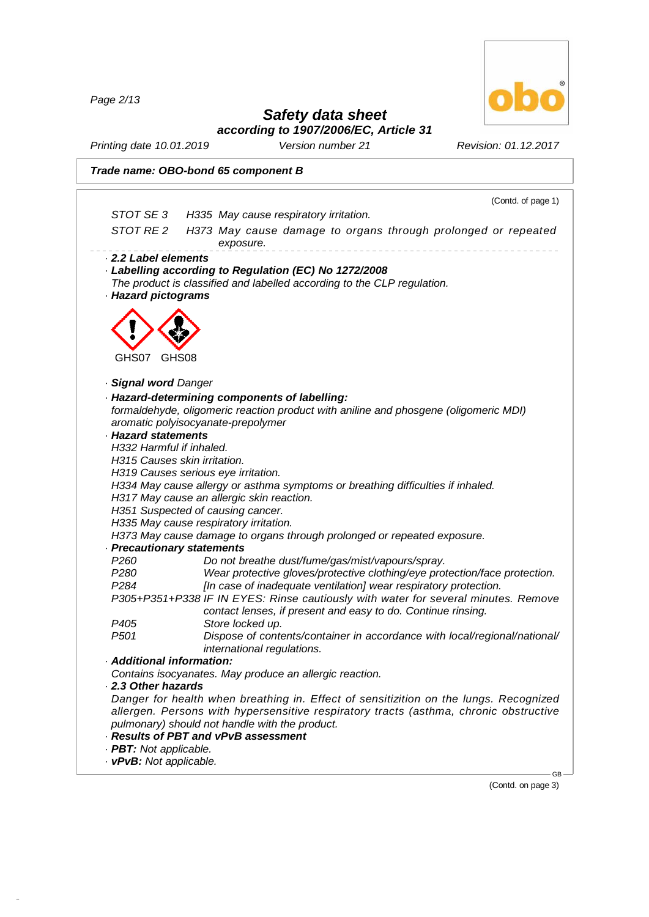*Page 2/13*

48.0.6



## *Safety data sheet*

*according to 1907/2006/EC, Article 31*

*Printing date 10.01.2019 Version number 21 Revision: 01.12.2017*

|                                                                                                                                                                           | Trade name: OBO-bond 65 component B                                                                                                                                                                                                                                                                                                                                                                                                                                                                                                                                                                                                                                                                                                                                                                                                                                      |
|---------------------------------------------------------------------------------------------------------------------------------------------------------------------------|--------------------------------------------------------------------------------------------------------------------------------------------------------------------------------------------------------------------------------------------------------------------------------------------------------------------------------------------------------------------------------------------------------------------------------------------------------------------------------------------------------------------------------------------------------------------------------------------------------------------------------------------------------------------------------------------------------------------------------------------------------------------------------------------------------------------------------------------------------------------------|
|                                                                                                                                                                           | (Contd. of page 1)                                                                                                                                                                                                                                                                                                                                                                                                                                                                                                                                                                                                                                                                                                                                                                                                                                                       |
| STOT SE3                                                                                                                                                                  | H335 May cause respiratory irritation.                                                                                                                                                                                                                                                                                                                                                                                                                                                                                                                                                                                                                                                                                                                                                                                                                                   |
| STOT RE 2                                                                                                                                                                 | H373 May cause damage to organs through prolonged or repeated<br>exposure.                                                                                                                                                                                                                                                                                                                                                                                                                                                                                                                                                                                                                                                                                                                                                                                               |
| 2.2 Label elements<br>· Hazard pictograms                                                                                                                                 | Labelling according to Regulation (EC) No 1272/2008<br>The product is classified and labelled according to the CLP regulation.                                                                                                                                                                                                                                                                                                                                                                                                                                                                                                                                                                                                                                                                                                                                           |
| GHS07<br>GHS08                                                                                                                                                            |                                                                                                                                                                                                                                                                                                                                                                                                                                                                                                                                                                                                                                                                                                                                                                                                                                                                          |
| · Signal word Danger                                                                                                                                                      |                                                                                                                                                                                                                                                                                                                                                                                                                                                                                                                                                                                                                                                                                                                                                                                                                                                                          |
| · Hazard statements<br>H332 Harmful if inhaled.<br>H315 Causes skin irritation.<br>· Precautionary statements<br>P <sub>260</sub><br>P <sub>280</sub><br>P <sub>284</sub> | · Hazard-determining components of labelling:<br>formaldehyde, oligomeric reaction product with aniline and phosgene (oligomeric MDI)<br>aromatic polyisocyanate-prepolymer<br>H319 Causes serious eye irritation.<br>H334 May cause allergy or asthma symptoms or breathing difficulties if inhaled.<br>H317 May cause an allergic skin reaction.<br>H351 Suspected of causing cancer.<br>H335 May cause respiratory irritation.<br>H373 May cause damage to organs through prolonged or repeated exposure.<br>Do not breathe dust/fume/gas/mist/vapours/spray.<br>Wear protective gloves/protective clothing/eye protection/face protection.<br>[In case of inadequate ventilation] wear respiratory protection.<br>P305+P351+P338 IF IN EYES: Rinse cautiously with water for several minutes. Remove<br>contact lenses, if present and easy to do. Continue rinsing. |
| P <sub>405</sub><br>P <sub>501</sub>                                                                                                                                      | Store locked up.<br>Dispose of contents/container in accordance with local/regional/national/<br>international regulations.                                                                                                                                                                                                                                                                                                                                                                                                                                                                                                                                                                                                                                                                                                                                              |
| $\cdot$ Additional information:                                                                                                                                           |                                                                                                                                                                                                                                                                                                                                                                                                                                                                                                                                                                                                                                                                                                                                                                                                                                                                          |
| 2.3 Other hazards                                                                                                                                                         | Contains isocyanates. May produce an allergic reaction.                                                                                                                                                                                                                                                                                                                                                                                                                                                                                                                                                                                                                                                                                                                                                                                                                  |
| · PBT: Not applicable.                                                                                                                                                    | Danger for health when breathing in. Effect of sensitizition on the lungs. Recognized<br>allergen. Persons with hypersensitive respiratory tracts (asthma, chronic obstructive<br>pulmonary) should not handle with the product.<br>· Results of PBT and vPvB assessment                                                                                                                                                                                                                                                                                                                                                                                                                                                                                                                                                                                                 |
| · vPvB: Not applicable.                                                                                                                                                   | GB                                                                                                                                                                                                                                                                                                                                                                                                                                                                                                                                                                                                                                                                                                                                                                                                                                                                       |

(Contd. on page 3)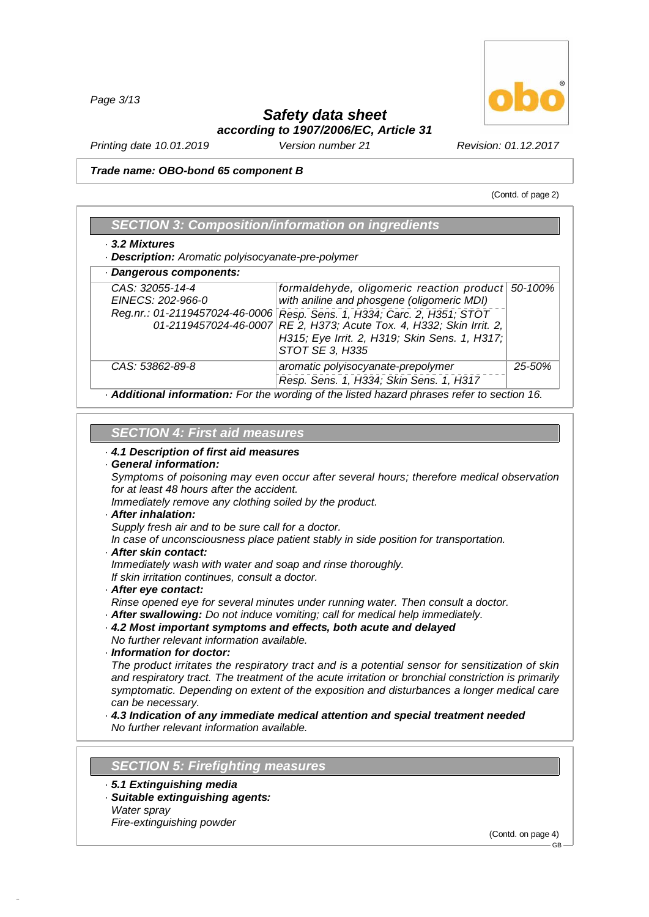*Page 3/13*

#### *Safety data sheet according to 1907/2006/EC, Article 31*

*Printing date 10.01.2019 Version number 21 Revision: 01.12.2017*

*Trade name: OBO-bond 65 component B*

(Contd. of page 2)

| 3.2 Mixtures<br>- Description: Aromatic polyisocyanate-pre-polymer     |                                                                                                                                             |        |
|------------------------------------------------------------------------|---------------------------------------------------------------------------------------------------------------------------------------------|--------|
| · Dangerous components:                                                |                                                                                                                                             |        |
| CAS: 32055-14-4<br>EINECS: 202-966-0<br>Reg.nr.: 01-2119457024-46-0006 | formaldehyde, oligomeric reaction product 50-100%<br>with aniline and phosgene (oligomeric MDI)<br>Resp. Sens. 1, H334; Carc. 2, H351; STOT |        |
| 01-2119457024-46-0007                                                  | RE 2, H373; Acute Tox. 4, H332; Skin Irrit. 2,<br>H315; Eye Irrit. 2, H319; Skin Sens. 1, H317;<br>STOT SE 3, H335                          |        |
| CAS: 53862-89-8                                                        | aromatic polyisocyanate-prepolymer<br>Resp. Sens. 1, H334; Skin Sens. 1, H317                                                               | 25-50% |

#### *SECTION 4:First aid measures*

#### *· 4.1 Description of first aid measures*

#### *· General information:*

*Symptoms of poisoning may even occur after several hours; therefore medical observation for at least 48 hours after the accident.*

*Immediately remove any clothing soiled by the product.*

#### *· After inhalation:*

*Supply fresh air and to be sure call for a doctor.*

*In case of unconsciousness place patient stably in side position for transportation.*

*· After skin contact:*

*Immediately wash with water and soap and rinse thoroughly.*

*If skin irritation continues, consult a doctor.*

#### *· After eye contact:*

*Rinse opened eye for several minutes under running water. Then consult a doctor.*

- *· After swallowing: Do not induce vomiting; call for medical help immediately.*
- *· 4.2 Most important symptoms and effects, both acute and delayed No further relevant information available.*

*· Information for doctor:*

*The product irritates the respiratory tract and is a potential sensor for sensitization of skin and respiratory tract. The treatment of the acute irritation or bronchial constriction is primarily symptomatic. Depending on extent of the exposition and disturbances a longer medical care can be necessary.*

*· 4.3 Indication of any immediate medical attention and special treatment needed No further relevant information available.*

#### **SECTION 5: Firefighting measures**

- *· 5.1 Extinguishing media*
- *· Suitable extinguishing agents: Water spray*

*Fire-extinguishing powder*

48.0.6

(Contd. on page 4)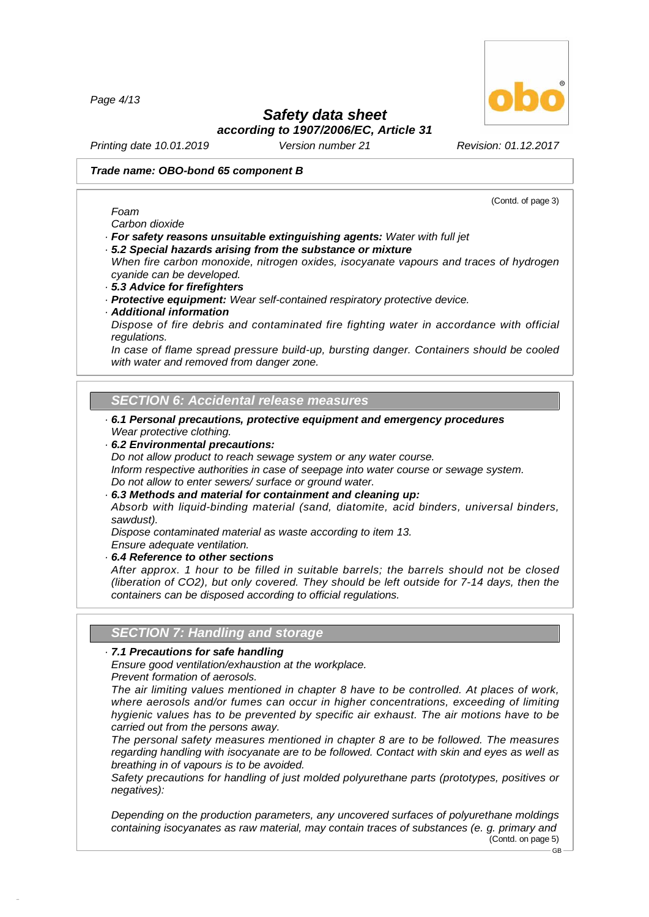*Page 4/13*

## *Safety data sheet*

*according to 1907/2006/EC, Article 31*

*Printing date 10.01.2019 Version number 21 Revision: 01.12.2017*

#### *Trade name: OBO-bond 65 component B*

*Carbon dioxide*

*Foam*

- *· For safety reasons unsuitable extinguishing agents: Water with full jet · 5.2 Special hazards arising from the substance or mixture*
- *When fire carbon monoxide, nitrogen oxides, isocyanate vapours and traces of hydrogen*
- *cyanide can be developed. · 5.3 Advice for firefighters*
- *· Protective equipment: Wear self-contained respiratory protective device.*
- *· Additional information*

*Dispose of fire debris and contaminated fire fighting water in accordance with official regulations.*

*In case of flame spread pressure build-up, bursting danger. Containers should be cooled with water and removed from danger zone.*

#### *SECTION 6:Accidental release measures*

- *· 6.1 Personal precautions, protective equipment and emergency procedures Wear protective clothing.*
- *· 6.2 Environmental precautions:*

*Do not allow product to reach sewage system or any water course.*

*Inform respective authorities in case of seepage into water course or sewage system. Do not allow to enter sewers/ surface or ground water.*

*· 6.3 Methods and material for containment and cleaning up:*

*Absorb with liquid-binding material (sand, diatomite, acid binders, universal binders, sawdust).*

*Dispose contaminated material as waste according to item 13.Ensure adequate ventilation.*

- 
- *· 6.4 Reference to other sections*

*After approx. 1 hour to be filled in suitable barrels; the barrels should not be closed (liberation of CO2), but only covered. They should be left outside for 7-14 days, then the containers can be disposed according to official regulations.*

#### **SECTION 7: Handling and storage**

#### *· 7.1 Precautions for safe handling*

*Ensure good ventilation/exhaustion at the workplace.*

*Prevent formation of aerosols.*

48.0.6

*The air limiting values mentioned in chapter 8 have to be controlled. At places of work, where aerosols and/or fumes can occur in higher concentrations, exceeding of limiting hygienic values has to be prevented by specific air exhaust. The air motions have to be carried out from the persons away.*

*The personal safety measures mentioned in chapter 8 are to be followed. The measures regarding handling with isocyanate are to be followed. Contact with skin and eyes as well as breathing in of vapours is to be avoided.*

*Safety precautions for handling of just molded polyurethane parts (prototypes, positives or negatives):*

*Depending on the production parameters, any uncovered surfaces of polyurethane moldings containing isocyanates as raw material, may contain traces of substances (e. g. primary and* (Contd. on page 5)

(Contd. of page 3)

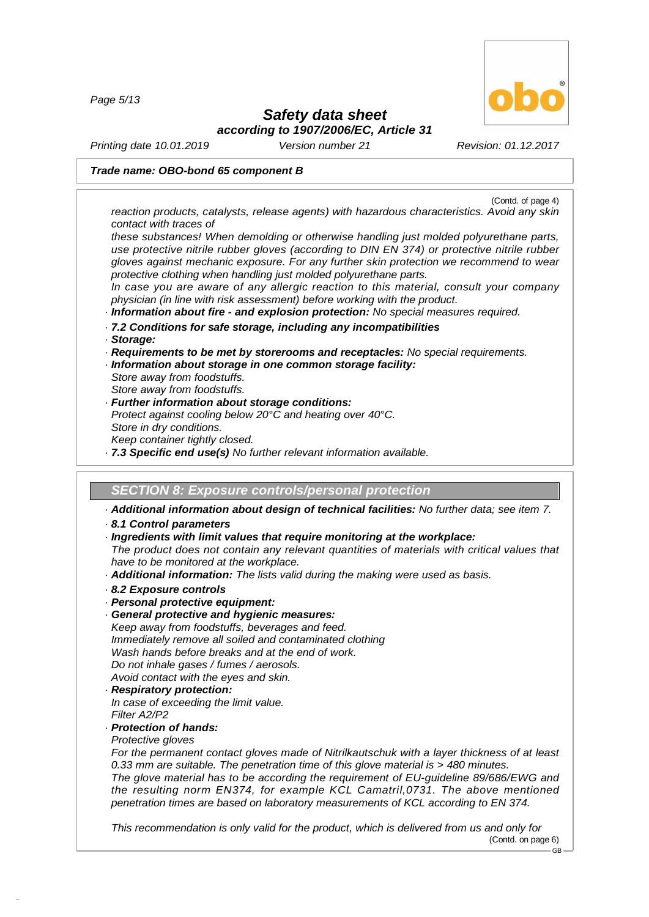*Page 5/13*



## *Safety data sheet*

*according to 1907/2006/EC, Article 31*

*Printing date 10.01.2019 Version number 21 Revision: 01.12.2017*

#### *Trade name: OBO-bond 65 component B*

(Contd. of page 4)

*reaction products, catalysts, release agents) with hazardous characteristics. Avoid any skin contact with traces of*

*these substances! When demolding or otherwise handling just molded polyurethane parts, use protective nitrile rubber gloves (according to DIN EN 374) or protective nitrile rubber gloves against mechanic exposure. For any further skin protection we recommend to wear protective clothing when handling just molded polyurethane parts.*

*In case you are aware of any allergic reaction to this material, consult your company physician (in line with risk assessment) before working with the product.*

- *· Information about fire - and explosion protection: No special measures required.*
- *· 7.2 Conditions for safe storage, including any incompatibilities*
- *· Storage:*
- *· Requirements to be met by storerooms and receptacles: No special requirements.*
- *· Information about storage in one common storage facility:*
- *Store away from foodstuffs.*
- *Store away from foodstuffs.*
- *· Further information about storage conditions: Protect against cooling below 20°C and heating over 40°C.*
- *Store in dry conditions.*
- *Keep container tightly closed.*
- *· 7.3 Specific end use(s) No further relevant information available.*

**SECTION 8: Exposure controls/personal protection** 

*· Additional information about design of technical facilities: No further data; see item 7.*

#### *· 8.1 Control parameters*

*· Ingredients with limit values that require monitoring at the workplace:*

*The product does not contain any relevant quantities of materials with critical values that have to be monitored at the workplace.*

- *· Additional information: The lists valid during the making were used as basis.*
- *· 8.2 Exposure controls*
- *· Personal protective equipment:*
- *· General protective and hygienic measures:*

*Keep away from foodstuffs, beverages and feed. Immediately remove all soiled and contaminated clothing Wash hands before breaks and at the end of work.*

*Do not inhale gases / fumes / aerosols. Avoid contact with the eyes and skin.*

- *· Respiratory protection:*
- *In case of exceeding the limit value. Filter A2/P2*

#### *· Protection of hands:*

*Protective gloves*

48.0.6

*For the permanent contact gloves made of Nitrilkautschuk with a layer thickness of at least 0.33 mm are suitable. The penetration time of this glove material is > 480 minutes. The glove material has to be according the requirement of EU-guideline 89/686/EWG and the resulting norm EN374, for example KCL Camatril,0731. The above mentioned penetration times are based on laboratory measurements of KCL according to EN 374.*

*This recommendation is only valid for the product, which is delivered from us and only for* (Contd. on page 6) GB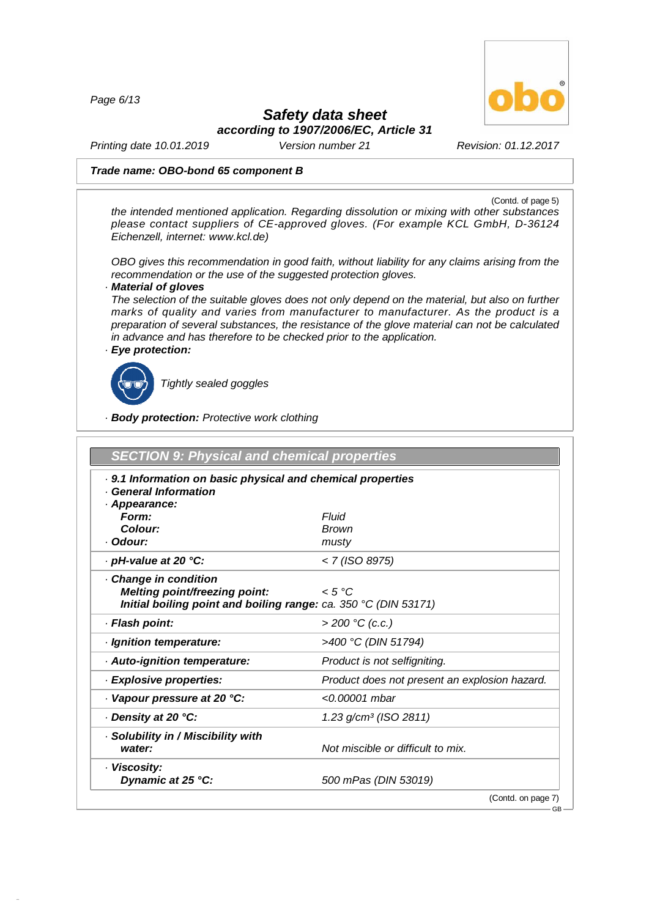*Page 6/13*



## *Safety data sheet*

*according to 1907/2006/EC, Article 31*

*Printing date 10.01.2019 Version number 21 Revision: 01.12.2017*

#### *Trade name: OBO-bond 65 component B*

(Contd. of page 5)

GB

*the intended mentioned application. Regarding dissolution or mixing with other substances please contact suppliers of CE-approved gloves. (For example KCL GmbH, D-36124 Eichenzell, internet: [www.kcl.de\)](��)*

*OBO gives this recommendation in good faith, without liability for any claims arising from the recommendation or the use of the suggested protection gloves.*

#### *· Material of gloves*

*The selection of the suitable gloves does not only depend on the material, but also on further marks of quality and varies from manufacturer to manufacturer. As the product is a preparation of several substances, the resistance of the glove material can not be calculated in advance and has therefore to be checked prior to the application. · Eye protection:*



48.0.6

*Tightly sealed goggles*

*· Body protection: Protective work clothing*

| <b>SECTION 9: Physical and chemical properties</b>                                                                             |                                               |
|--------------------------------------------------------------------------------------------------------------------------------|-----------------------------------------------|
| . 9.1 Information on basic physical and chemical properties<br><b>General Information</b><br>· Appearance:                     |                                               |
| Form:                                                                                                                          | Fluid                                         |
| Colour:                                                                                                                        | <b>Brown</b>                                  |
| · Odour:                                                                                                                       | musty                                         |
| · pH-value at 20 °C:                                                                                                           | < 7 (ISO 8975)                                |
| Change in condition<br><b>Melting point/freezing point:</b><br>Initial boiling point and boiling range: ca. 350 °C (DIN 53171) | < 5 °C                                        |
| · Flash point:                                                                                                                 | $>$ 200 °C (c.c.)                             |
| · Ignition temperature:                                                                                                        | >400 °C (DIN 51794)                           |
| · Auto-ignition temperature:                                                                                                   | Product is not selfigniting.                  |
| · Explosive properties:                                                                                                        | Product does not present an explosion hazard. |
| Vapour pressure at 20 °C:                                                                                                      | $< 0.00001$ mbar                              |
| Density at 20 °C:                                                                                                              | $1.23$ g/cm <sup>3</sup> (ISO 2811)           |
| · Solubility in / Miscibility with<br>water:                                                                                   | Not miscible or difficult to mix.             |
| · Viscosity:<br>Dynamic at 25 °C:                                                                                              | 500 mPas (DIN 53019)                          |
|                                                                                                                                | (Contd. on page 7)                            |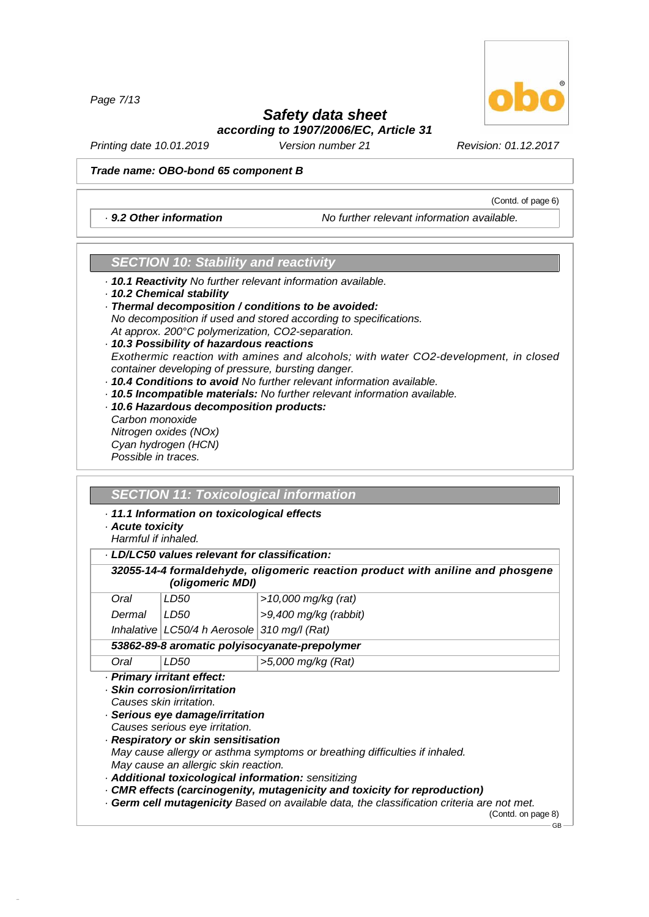*Page 7/13*

#### *Safety data sheet according to 1907/2006/EC, Article 31*

*Printing date 10.01.2019 Version number 21 Revision: 01.12.2017*

#### *Trade name: OBO-bond 65 component B*

*· 9.2 Other information No further relevant information available.*

#### *SECTION 10: Stability and reactivity*

- *· 10.1 Reactivity No further relevant information available.*
- *· 10.2 Chemical stability*
- *· Thermal decomposition / conditions to be avoided: No decomposition if used and stored according to specifications. At approx. 200°C polymerization, CO2-separation.*

*· 10.3 Possibility of hazardous reactions Exothermic reaction with amines and alcohols; with water CO2-development, in closed container developing of pressure, bursting danger.*

- *· 10.4 Conditions to avoid No further relevant information available.*
- *· 10.5 Incompatible materials: No further relevant information available.*
- *· 10.6 Hazardous decomposition products: Carbon monoxide Nitrogen oxides (NOx) Cyan hydrogen (HCN) Possible in traces.*

#### *SECTION 11: Toxicological information*

*· 11.1 Information on toxicological effects*

*· Acute toxicity*

48.0.6

*Harmful if inhaled.*

*· LD/LC50 values relevant for classification:*

|        | (oligomeric MDI)                                                                                                                                 | 32055-14-4 formaldehyde, oligomeric reaction product with aniline and phosgene                                                    |
|--------|--------------------------------------------------------------------------------------------------------------------------------------------------|-----------------------------------------------------------------------------------------------------------------------------------|
| Oral   | LD50                                                                                                                                             | >10,000 mg/kg (rat)                                                                                                               |
| Dermal | LD50                                                                                                                                             | $>9,400$ mg/kg (rabbit)                                                                                                           |
|        | Inhalative   LC50/4 h Aerosole   310 mg/l (Rat)                                                                                                  |                                                                                                                                   |
|        |                                                                                                                                                  | 53862-89-8 aromatic polyisocyanate-prepolymer                                                                                     |
| Oral   | LD50                                                                                                                                             | >5,000 mg/kg (Rat)                                                                                                                |
|        | · Serious eye damage/irritation<br>Causes serious eye irritation.<br>· Respiratory or skin sensitisation<br>May cause an allergic skin reaction. | May cause allergy or asthma symptoms or breathing difficulties if inhaled.<br>· Additional toxicological information: sensitizing |
|        |                                                                                                                                                  | · CMR effects (carcinogenity, mutagenicity and toxicity for reproduction)                                                         |
|        |                                                                                                                                                  | . Germ cell mutagenicity Based on available data, the classification criteria are not met.                                        |

GB



(Contd. of page 6)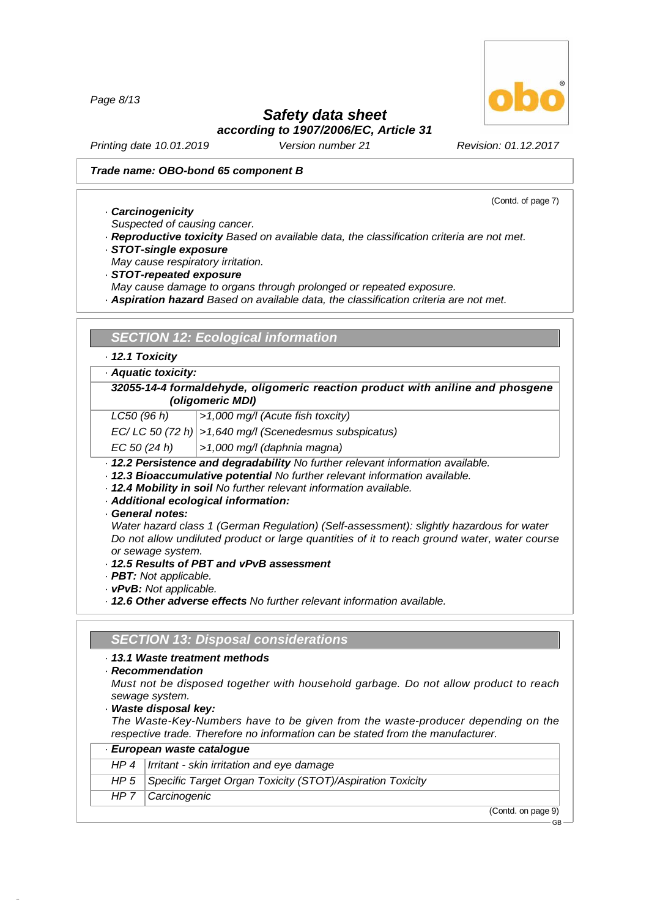*Page 8/13*

## *Safety data sheet*

(Contd. of page 7)

*according to 1907/2006/EC, Article 31*

*Printing date 10.01.2019 Version number 21 Revision: 01.12.2017*

#### *Trade name: OBO-bond 65 component B*

*· Carcinogenicity*

*Suspected of causing cancer.*

- *· Reproductive toxicity Based on available data, the classification criteria are not met.*
- *· STOT-single exposure*
- *May cause respiratory irritation.*
- *· STOT-repeated exposure*
- *May cause damage to organs through prolonged or repeated exposure.*
- *· Aspiration hazard Based on available data, the classification criteria are not met.*

| SECTION 12: Ecological information |
|------------------------------------|
|------------------------------------|

#### *· 12.1 Toxicity*

*· Aquatic toxicity:*

*32055-14-4 formaldehyde, oligomeric reaction product with aniline and phosgene (oligomeric MDI)*

*LC50 (96 h) >1,000 mg/l (Acute fish toxcity)*

*EC/ LC 50 (72 h) >1,640 mg/l (Scenedesmus subspicatus)*

*EC 50 (24 h) >1,000 mg/l (daphnia magna)*

- *· 12.2 Persistence and degradability No further relevant information available.*
- *· 12.3 Bioaccumulative potential No further relevant information available.*
- *· 12.4 Mobility in soil No further relevant information available.*
- *· Additional ecological information:*

*· General notes:*

*Water hazard class 1 (German Regulation) (Self-assessment): slightly hazardous for water Do not allow undiluted product or large quantities of it to reach ground water, water course or sewage system.*

- *· 12.5 Results of PBT and vPvB assessment*
- *· PBT: Not applicable.*
- *· vPvB: Not applicable.*

*· 12.6 Other adverse effects No further relevant information available.*

#### *SECTION 13: Disposal considerations*

*· 13.1 Waste treatment methods*

*· Recommendation*

48.0.6

*Must not be disposed together with household garbage. Do not allow product to reach sewage system.*

*· Waste disposal key:*

*The Waste-Key-Numbers have to be given from the waste-producer depending on the respective trade. Therefore no information can be stated from the manufacturer.*

| · European waste catalogue                                       |
|------------------------------------------------------------------|
| $HP 4$   Irritant - skin irritation and eye damage               |
| HP 5   Specific Target Organ Toxicity (STOT)/Aspiration Toxicity |
| $HP 7$   Carcinogenic                                            |
| (Contedon non                                                    |

(Contd. on page

GB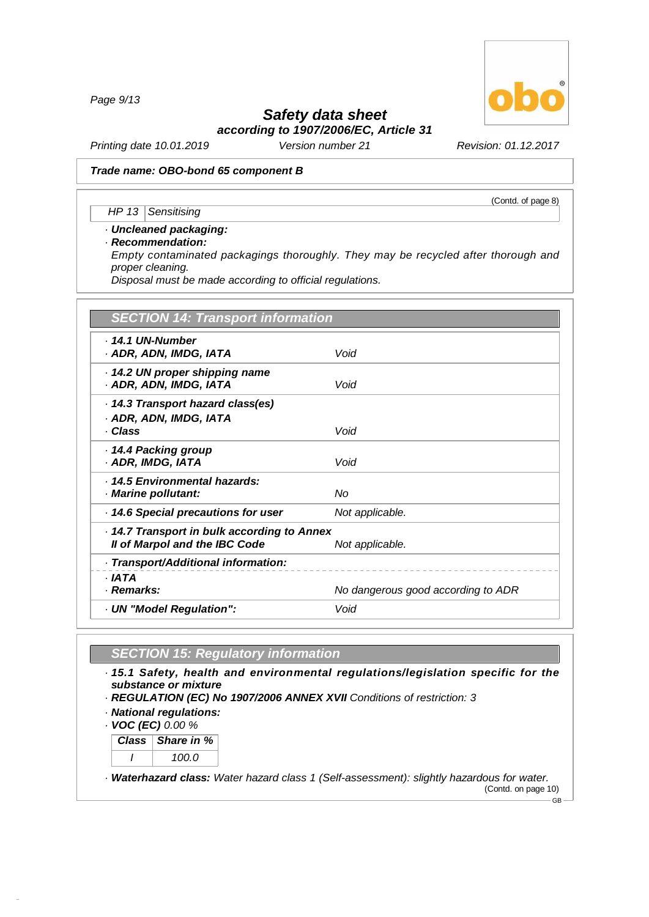*Page 9/13*

# *Safety data sheet*

*according to 1907/2006/EC, Article 31*

*Printing date 10.01.2019 Version number 21 Revision: 01.12.2017*

#### *Trade name: OBO-bond 65 component B*

*HP 13 Sensitising*

#### *· Uncleaned packaging:*

*· Recommendation:*

*Empty contaminated packagings thoroughly. They may be recycled after thorough and proper cleaning.*

*Disposal must be made according to official regulations.*

| <b>SECTION 14: Transport information</b>                                   |                                    |
|----------------------------------------------------------------------------|------------------------------------|
| . 14.1 UN-Number<br>· ADR, ADN, IMDG, IATA                                 | Void                               |
| 14.2 UN proper shipping name<br>· ADR, ADN, IMDG, IATA                     | Void                               |
| 14.3 Transport hazard class(es)<br>· ADR, ADN, IMDG, IATA<br>· Class       | Void                               |
| 14.4 Packing group<br>· ADR, IMDG, IATA                                    | Void                               |
| . 14.5 Environmental hazards:<br>· Marine pollutant:                       | Nο                                 |
| 14.6 Special precautions for user                                          | Not applicable.                    |
| 14.7 Transport in bulk according to Annex<br>Il of Marpol and the IBC Code | Not applicable.                    |
| · Transport/Additional information:                                        |                                    |
| · IATA<br>· Remarks:                                                       | No dangerous good according to ADR |
| UN "Model Regulation":                                                     | Void                               |

#### *SECTION 15: Regulatory information*

*· 15.1 Safety, health and environmental regulations/legislation specific for the substance or mixture*

- *· REGULATION (EC) No 1907/2006 ANNEX XVII Conditions of restriction: 3*
- *· National regulations:*

*· VOC (EC) 0.00 %*

48.0.6

*Class Share in % I 100.0*

*· Waterhazard class: Water hazard class 1 (Self-assessment): slightly hazardous for water.* (Contd. on page 10)  $-GB -$ 



(Contd. of page 8)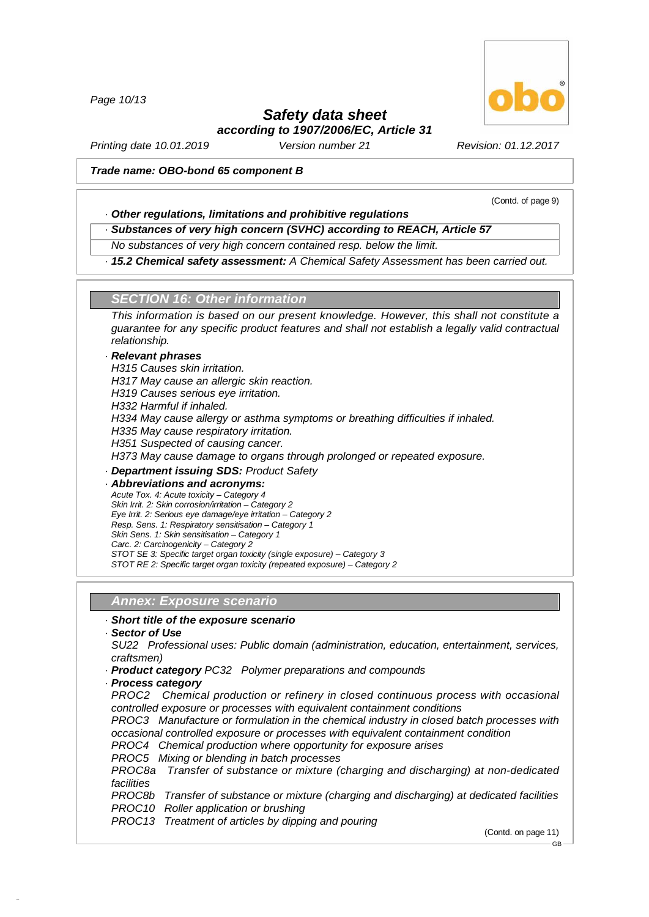*Page 10/13*

## *Safety data sheet*

*according to 1907/2006/EC, Article 31*

*Printing date 10.01.2019 Version number 21 Revision: 01.12.2017*

#### *Trade name: OBO-bond 65 component B*

(Contd. of page 9)

#### *· Other regulations, limitations and prohibitive regulations*

*· Substances of very high concern (SVHC) according to REACH, Article 57*

*No substances of very high concern contained resp. below the limit.*

*· 15.2 Chemical safety assessment: A Chemical Safety Assessment has been carried out.*

#### *SECTION 16: Other information*

*This information is based on our present knowledge. However, this shall not constitute a guarantee for any specific product features and shall not establish a legally valid contractual relationship.*

#### *· Relevant phrases*

*H315 Causes skin irritation. H317 May cause an allergic skin reaction. H319 Causes serious eye irritation. H332 Harmful if inhaled. H334 May cause allergy or asthma symptoms or breathing difficulties if inhaled. H335 May cause respiratory irritation. H351 Suspected of causing cancer. H373 May cause damage to organs through prolonged or repeated exposure. · Department issuing SDS: Product Safety · Abbreviations and acronyms: Acute Tox. 4: Acute toxicity –Category 4*

*Skin Irrit. 2: Skin corrosion/irritation –Category 2 Eye Irrit. 2: Serious eye damage/eye irritation –Category 2 Resp. Sens. 1: Respiratory sensitisation –Category 1 Skin Sens. 1: Skin sensitisation –Category 1*

- *Carc. 2: Carcinogenicity –Category 2*
- *STOT SE 3: Specific target organ toxicity (single exposure) –Category 3*

*STOT RE 2: Specific target organ toxicity (repeated exposure) –Category 2*

#### *Annex: Exposure scenario*

#### *· Short title of the exposure scenario*

*· Sector of Use*

48.0.6

*SU22 Professional uses: Public domain (administration, education, entertainment, services, craftsmen)*

- *· Product category PC32 Polymer preparations and compounds*
- *· Process category*

*PROC2 Chemical production or refinery in closed continuous process with occasional controlled exposure or processes with equivalent containment conditions*

*PROC3 Manufacture or formulation in the chemical industry in closed batch processes with occasional controlled exposure or processes with equivalent containment condition*

- *PROC4 Chemical production where opportunity for exposure arises*
- *PROC5 Mixing or blending in batch processes*

*PROC8a Transfer of substance or mixture (charging and discharging) at non-dedicated facilities*

*PROC8b Transfer of substance or mixture (charging and discharging) at dedicated facilities PROC10 Roller application or brushing*

*PROC13 Treatment of articles by dipping and pouring*

(Contd. on page 11)

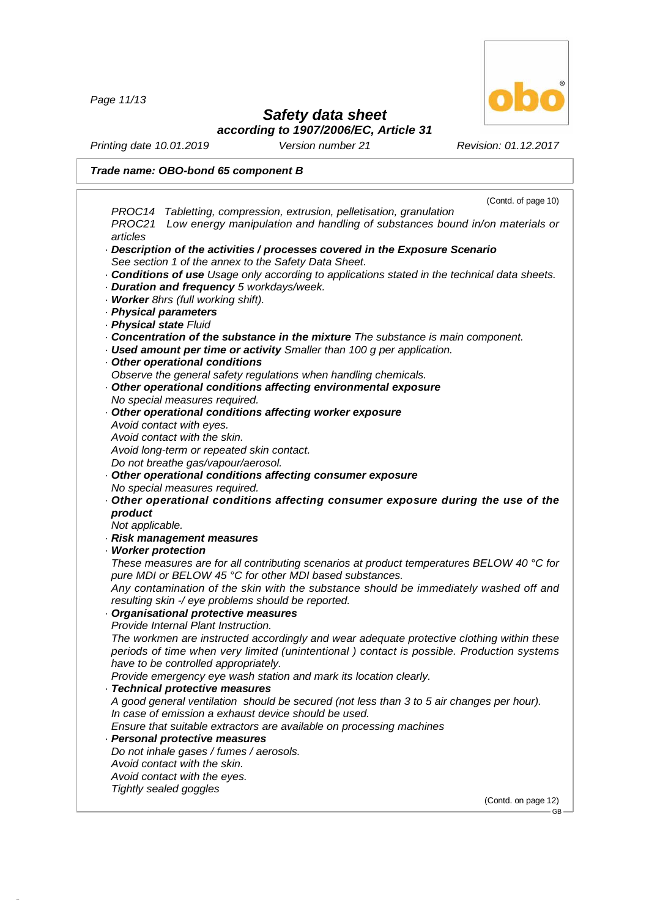*Page 11/13*

48.0.6

## *Safety data sheet*

*according to 1907/2006/EC, Article 31*

*Printing date 10.01.2019 Version number 21 Revision: 01.12.2017*

|                     | Trade name: OBO-bond 65 component B                                                                       |
|---------------------|-----------------------------------------------------------------------------------------------------------|
|                     | (Contd. of page 10)                                                                                       |
|                     | PROC14 Tabletting, compression, extrusion, pelletisation, granulation                                     |
|                     | PROC21 Low energy manipulation and handling of substances bound in/on materials or                        |
| articles            |                                                                                                           |
|                     | $\cdot$ Description of the activities / processes covered in the Exposure Scenario                        |
|                     | See section 1 of the annex to the Safety Data Sheet.                                                      |
|                     | <b>Conditions of use</b> Usage only according to applications stated in the technical data sheets.        |
|                     | · Duration and frequency 5 workdays/week.                                                                 |
|                     | · Worker 8hrs (full working shift).                                                                       |
|                     | · Physical parameters                                                                                     |
|                     | · Physical state Fluid                                                                                    |
|                     | Concentration of the substance in the mixture The substance is main component.                            |
|                     | Used amount per time or activity Smaller than 100 g per application.                                      |
|                     | Other operational conditions                                                                              |
|                     | Observe the general safety regulations when handling chemicals.                                           |
|                     | Other operational conditions affecting environmental exposure                                             |
|                     | No special measures required.                                                                             |
|                     | Other operational conditions affecting worker exposure                                                    |
|                     | Avoid contact with eyes.                                                                                  |
|                     | Avoid contact with the skin.                                                                              |
|                     | Avoid long-term or repeated skin contact.                                                                 |
|                     | Do not breathe gas/vapour/aerosol.                                                                        |
|                     | Other operational conditions affecting consumer exposure                                                  |
|                     | No special measures required.                                                                             |
|                     | Other operational conditions affecting consumer exposure during the use of the                            |
| product             |                                                                                                           |
| Not applicable.     |                                                                                                           |
|                     | Risk management measures                                                                                  |
| · Worker protection |                                                                                                           |
|                     | These measures are for all contributing scenarios at product temperatures BELOW 40 $^{\circ}$ C for       |
|                     | pure MDI or BELOW 45 °C for other MDI based substances.                                                   |
|                     | Any contamination of the skin with the substance should be immediately washed off and                     |
|                     | resulting skin -/ eye problems should be reported.                                                        |
|                     | Organisational protective measures<br>Provide Internal Plant Instruction.                                 |
|                     |                                                                                                           |
|                     | The workmen are instructed accordingly and wear adequate protective clothing within these                 |
|                     | periods of time when very limited (unintentional) contact is possible. Production systems                 |
|                     | have to be controlled appropriately.<br>Provide emergency eye wash station and mark its location clearly. |
|                     | · Technical protective measures                                                                           |
|                     | A good general ventilation should be secured (not less than 3 to 5 air changes per hour).                 |
|                     | In case of emission a exhaust device should be used.                                                      |
|                     | Ensure that suitable extractors are available on processing machines                                      |
|                     | Personal protective measures                                                                              |
|                     | Do not inhale gases / fumes / aerosols.                                                                   |
|                     | Avoid contact with the skin.                                                                              |
|                     | Avoid contact with the eyes.                                                                              |
|                     | Tightly sealed goggles                                                                                    |
|                     | (Contd. on page 12)                                                                                       |
|                     |                                                                                                           |



GB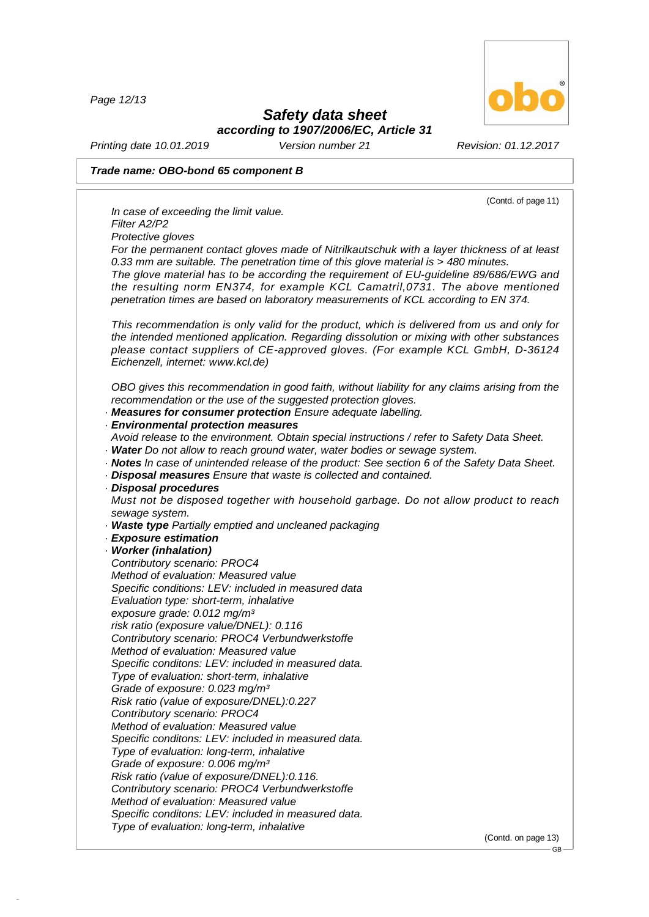*Page 12/13*

48.0.6



## *Safety data sheet*

*according to 1907/2006/EC, Article 31*

*Printing date 10.01.2019 Version number 21 Revision: 01.12.2017*

#### *Trade name: OBO-bond 65 component B*

(Contd. of page 11) *In case of exceeding the limit value. Filter A2/P2 Protective gloves For the permanent contact gloves made of Nitrilkautschuk with a layer thickness of at least 0.33 mm are suitable. The penetration time of this glove material is > 480 minutes. The glove material has to be according the requirement of EU-guideline 89/686/EWG and the resulting norm EN374, for example KCL Camatril,0731. The above mentioned penetration times are based on laboratory measurements of KCL according to EN 374. This recommendation is only valid for the product, which is delivered from us and only for the intended mentioned application. Regarding dissolution or mixing with other substances please contact suppliers of CE-approved gloves. (For example KCL GmbH, D-36124 Eichenzell, internet: [www.kcl.de\)](��) OBO gives this recommendation in good faith, without liability for any claims arising from the recommendation or the use of the suggested protection gloves. · Measures for consumer protection Ensure adequate labelling. · Environmental protection measures Avoid release to the environment. Obtain special instructions / refer to Safety Data Sheet. · Water Do not allow to reach ground water, water bodies or sewage system. · Notes In case of unintended release of the product: See section 6 of the Safety Data Sheet. · Disposal measures Ensure that waste is collected and contained. · Disposal procedures Must not be disposed together with household garbage. Do not allow product to reach sewage system. · Waste type Partially emptied and uncleaned packaging · Exposure estimation · Worker (inhalation) Contributory scenario: PROC4 Method of evaluation: Measured value Specific conditions: LEV: included in measured data Evaluation type: short-term, inhalative exposure grade: 0.012 mg/m³ risk ratio (exposure value/DNEL): 0.116 Contributory scenario: PROC4 Verbundwerkstoffe Method of evaluation: Measured value Specific conditons: LEV: included in measured data. Type of evaluation: short-term, inhalative Grade of exposure: 0.023 mg/m³ Risk ratio (value of exposure/DNEL):0.227 Contributory scenario: PROC4 Method of evaluation: Measured value Specific conditons: LEV: included in measured data. Type of evaluation: long-term, inhalative Grade of exposure: 0.006 mg/m³ Risk ratio (value of exposure/DNEL):0.116. Contributory scenario: PROC4 Verbundwerkstoffe Method of evaluation: Measured value Specific conditons: LEV: included in measured data. Type of evaluation: long-term, inhalative*